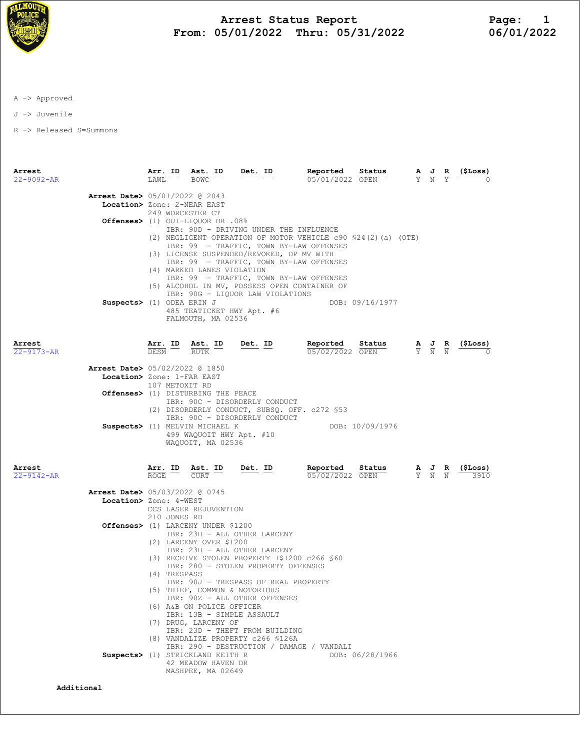

## Arrest Status Report 1<br>05/01/2022 Thru: 05/31/2022 16/01/2022 From:  $05/01/2022$  Thru:  $05/31/2022$

A -> Approved

J -> Juvenile

R -> Released S=Summons

| Arrest<br>$22 - 9092 - AR$               | Arr. ID Ast. ID<br>LAWL                                                      | BOWC                                                                                                                                                        | Det. ID                                                                                                                                                                                                                                                                            | Reported<br>05/01/2022 OPEN                                                                                                                                                                                                                    | Status          | $\frac{\mathbf{A}}{\mathrm{Y}}$ $\frac{\mathbf{J}}{\mathrm{N}}$ |                                                                                                 | $rac{\mathbf{R}}{\Upsilon}$ | ( \$Loss) |
|------------------------------------------|------------------------------------------------------------------------------|-------------------------------------------------------------------------------------------------------------------------------------------------------------|------------------------------------------------------------------------------------------------------------------------------------------------------------------------------------------------------------------------------------------------------------------------------------|------------------------------------------------------------------------------------------------------------------------------------------------------------------------------------------------------------------------------------------------|-----------------|-----------------------------------------------------------------|-------------------------------------------------------------------------------------------------|-----------------------------|-----------|
| Arrest Date> 05/01/2022 @ 2043           | Location> Zone: 2-NEAR EAST<br>249 WORCESTER CT<br>Suspects> (1) ODEA ERIN J | 0ffenses> (1) OUI-LIQUOR OR .08%<br>(4) MARKED LANES VIOLATION<br>FALMOUTH, MA 02536                                                                        | IBR: 90D - DRIVING UNDER THE INFLUENCE<br>(3) LICENSE SUSPENDED/REVOKED, OP MV WITH<br>IBR: 90G - LIQUOR LAW VIOLATIONS<br>485 TEATICKET HWY Apt. #6                                                                                                                               | (2) NEGLIGENT OPERATION OF MOTOR VEHICLE c90 \$24(2)(a) (OTE)<br>IBR: 99 - TRAFFIC, TOWN BY-LAW OFFENSES<br>IBR: 99 - TRAFFIC, TOWN BY-LAW OFFENSES<br>IBR: 99 - TRAFFIC, TOWN BY-LAW OFFENSES<br>(5) ALCOHOL IN MV, POSSESS OPEN CONTAINER OF | DOB: 09/16/1977 |                                                                 |                                                                                                 |                             |           |
| Arrest<br>$22 - 9173 - AR$               | Arr. ID<br>DESM                                                              | <b>Ast. ID</b><br>RUTK<br>RUTK                                                                                                                              | <u>Det. ID</u>                                                                                                                                                                                                                                                                     | <u>Reported</u><br>05/02/2022 OPEN                                                                                                                                                                                                             | Status          |                                                                 | $\frac{\mathbf{A}}{\mathbf{Y}}$ $\frac{\mathbf{J}}{\mathbf{N}}$ $\frac{\mathbf{R}}{\mathbf{N}}$ |                             |           |
| Arrest Date> 05/02/2022 @ 1850           | Location> Zone: 1-FAR EAST<br>107 METOXIT RD                                 | Offenses> (1) DISTURBING THE PEACE<br>Suspects> (1) MELVIN MICHAEL K<br>WAQUOIT, MA 02536                                                                   | IBR: 90C - DISORDERLY CONDUCT<br>IBR: 90C - DISORDERLY CONDUCT<br>499 WAQUOIT HWY Apt. #10                                                                                                                                                                                         | (2) DISORDERLY CONDUCT, SUBSQ. OFF. c272 \$53                                                                                                                                                                                                  | DOB: 10/09/1976 |                                                                 |                                                                                                 |                             |           |
| Arrest<br>$22 - 9142 - AR$               | Arr. ID<br>ROGE.                                                             | $\frac{\text{Ast.}}{\text{CID}}$ ID<br><b>CURT</b>                                                                                                          | $Det. ID$                                                                                                                                                                                                                                                                          | Reported<br>05/02/2022 OPEN                                                                                                                                                                                                                    | Status          |                                                                 | $\frac{\mathbf{A}}{\mathbf{Y}}$ $\frac{\mathbf{J}}{\mathbf{N}}$ $\frac{\mathbf{R}}{\mathbf{N}}$ |                             | (ŞLoss)   |
| <b>Arrest Date&gt;</b> 05/03/2022 @ 0745 | Location> Zone: 4-WEST<br>210 JONES RD                                       | CCS LASER REJUVENTION<br>Offenses> (1) LARCENY UNDER \$1200                                                                                                 | IBR: 23H - ALL OTHER LARCENY                                                                                                                                                                                                                                                       |                                                                                                                                                                                                                                                |                 |                                                                 |                                                                                                 |                             |           |
|                                          | (4) TRESPASS                                                                 | (2) LARCENY OVER \$1200<br>(6) A&B ON POLICE OFFICER<br>(7) DRUG, LARCENY OF<br>Suspects> (1) STRICKLAND KEITH R<br>42 MEADOW HAVEN DR<br>MASHPEE, MA 02649 | IBR: 23H - ALL OTHER LARCENY<br>IBR: 280 - STOLEN PROPERTY OFFENSES<br>IBR: 90J - TRESPASS OF REAL PROPERTY<br>(5) THIEF, COMMON & NOTORIOUS<br>IBR: 90Z - ALL OTHER OFFENSES<br>IBR: 13B - SIMPLE ASSAULT<br>IBR: 23D - THEFT FROM BUILDING<br>(8) VANDALIZE PROPERTY c266 \$126A | (3) RECEIVE STOLEN PROPERTY +\$1200 c266 \$60<br>IBR: 290 - DESTRUCTION / DAMAGE / VANDALI                                                                                                                                                     | DOB: 06/28/1966 |                                                                 |                                                                                                 |                             |           |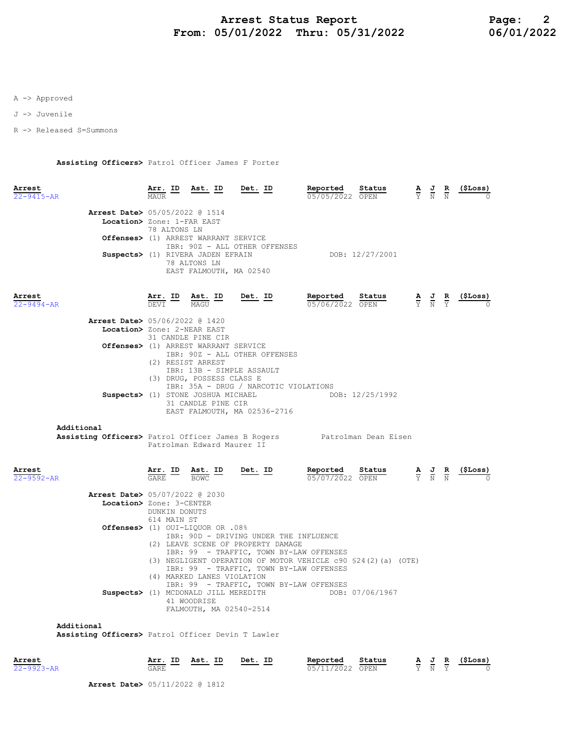A -> Approved

J -> Juvenile

R -> Released S=Summons

Assisting Officers> Patrol Officer James F Porter

| Arrest<br>22-9415-AR                                                                 | Arr. ID<br><b>MAUR</b>       | Ast. ID                                                                               | Det. ID                                                                                                                                                                                                                             | Reported<br>05/05/2022 OPEN | Status          | $\frac{\mathbf{A}}{\mathbf{Y}}$ $\frac{\mathbf{J}}{\mathbf{N}}$                                 | R<br>$\overline{N}$           | $(\$Loss)$           |
|--------------------------------------------------------------------------------------|------------------------------|---------------------------------------------------------------------------------------|-------------------------------------------------------------------------------------------------------------------------------------------------------------------------------------------------------------------------------------|-----------------------------|-----------------|-------------------------------------------------------------------------------------------------|-------------------------------|----------------------|
| Arrest Date> 05/05/2022 @ 1514<br>Location> Zone: 1-FAR EAST                         | 78 ALTONS LN                 | Offenses> (1) ARREST WARRANT SERVICE<br>78 ALTONS LN<br>EAST FALMOUTH, MA 02540       | IBR: 90Z - ALL OTHER OFFENSES<br>Suspects> (1) RIVERA JADEN EFRAIN DOB: 12/27/2001                                                                                                                                                  |                             |                 |                                                                                                 |                               |                      |
| Arrest<br>$22 - 9494 - AR$                                                           | Arr. ID<br>DEVT              | Ast. ID<br>MAGU                                                                       | Det. ID                                                                                                                                                                                                                             | Reported<br>05/06/2022 OPEN | Status          | $\frac{\mathbf{A}}{\mathbf{Y}}$ $\frac{\mathbf{J}}{\mathbf{N}}$                                 | $rac{\mathbf{R}}{\mathrm{Y}}$ | $\frac{(\$Loss)}{0}$ |
| Arrest Date> 05/06/2022 @ 1420<br>Location> Zone: 2-NEAR EAST                        |                              | 31 CANDLE PINE CIR<br>Offenses> (1) ARREST WARRANT SERVICE<br>(2) RESIST ARREST       | IBR: 90Z - ALL OTHER OFFENSES                                                                                                                                                                                                       |                             |                 |                                                                                                 |                               |                      |
|                                                                                      |                              | (3) DRUG, POSSESS CLASS E<br>Suspects> (1) STONE JOSHUA MICHAEL<br>31 CANDLE PINE CIR | IBR: 13B - SIMPLE ASSAULT<br>IBR: 35A - DRUG / NARCOTIC VIOLATIONS<br>EAST FALMOUTH, MA 02536-2716                                                                                                                                  |                             | DOB: 12/25/1992 |                                                                                                 |                               |                      |
| Additional<br>Assisting Officers> Patrol Officer James B Rogers Patrolman Dean Eisen |                              | Patrolman Edward Maurer II                                                            |                                                                                                                                                                                                                                     |                             |                 |                                                                                                 |                               |                      |
| Arrest<br>$22 - 9592 - AR$                                                           | Arr. ID                      | Ast. ID<br><b>BOWC</b>                                                                | <u>Det. ID</u>                                                                                                                                                                                                                      | Reported<br>05/07/2022 OPEN | Status          | $\frac{\mathbf{A}}{\mathbf{Y}}$ $\frac{\mathbf{J}}{\mathbf{N}}$ $\frac{\mathbf{R}}{\mathbf{N}}$ |                               |                      |
| Arrest Date> 05/07/2022 @ 2030<br>Location> Zone: 3-CENTER                           | DUNKIN DONUTS<br>614 MAIN ST |                                                                                       |                                                                                                                                                                                                                                     |                             |                 |                                                                                                 |                               |                      |
|                                                                                      |                              | Offenses> (1) OUI-LIQUOR OR .08%<br>(4) MARKED LANES VIOLATION                        | IBR: 90D - DRIVING UNDER THE INFLUENCE<br>(2) LEAVE SCENE OF PROPERTY DAMAGE<br>IBR: 99 - TRAFFIC, TOWN BY-LAW OFFENSES<br>(3) NEGLIGENT OPERATION OF MOTOR VEHICLE c90 \$24(2)(a) (OTE)<br>IBR: 99 - TRAFFIC, TOWN BY-LAW OFFENSES |                             |                 |                                                                                                 |                               |                      |
|                                                                                      |                              | 41 WOODRISE<br>FALMOUTH, MA 02540-2514                                                | IBR: 99 - TRAFFIC, TOWN BY-LAW OFFENSES<br>Suspects> (1) MCDONALD JILL MEREDITH                                                                                                                                                     |                             | DOB: 07/06/1967 |                                                                                                 |                               |                      |
| Additional<br>Assisting Officers> Patrol Officer Devin T Lawler                      |                              |                                                                                       |                                                                                                                                                                                                                                     |                             |                 |                                                                                                 |                               |                      |

| Arrest           | Arr. | ID | Ast. ID | Det. | ID | Reported        | Status |     | AJR | (\$Loss) |
|------------------|------|----|---------|------|----|-----------------|--------|-----|-----|----------|
| $22 - 9923 - AR$ | GARE |    |         |      |    | 05/11/2022 OPEN |        | Y N |     |          |

Arrest Date> 05/11/2022 @ 1812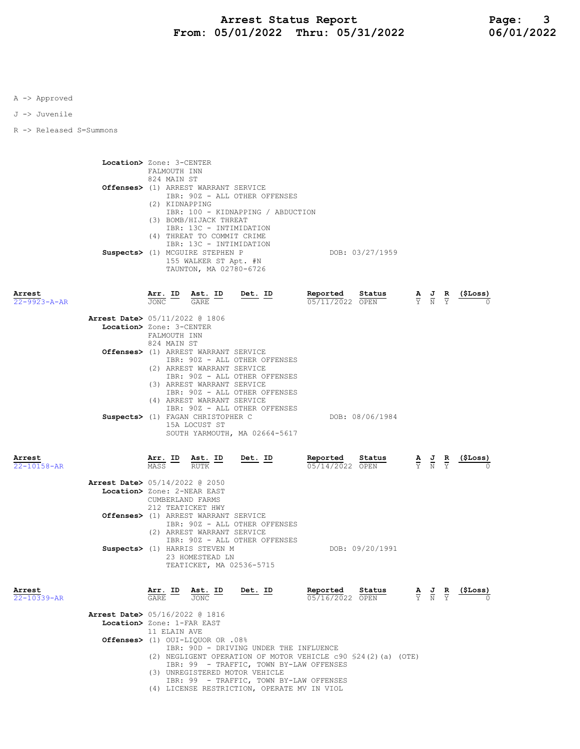A -> Approved

J -> Juvenile

R -> Released S=Summons

 Location> Zone: 3-CENTER FALMOUTH INN 824 MAIN ST Offenses> (1) ARREST WARRANT SERVICE IBR: 90Z - ALL OTHER OFFENSES (2) KIDNAPPING IBR: 100 - KIDNAPPING / ABDUCTION (3) BOMB/HIJACK THREAT IBR: 13C - INTIMIDATION (4) THREAT TO COMMIT CRIME IBR: 13C - INTIMIDATION Suspects> (1) MCGUIRE STEPHEN P DOB: 03/27/1959 155 WALKER ST Apt. #N TAUNTON, MA 02780-6726 Arrest Arr. ID Ast. ID Det. ID Reported Status A J R (\$Loss)  $\overline{22-992}$ 3-A-AR  $\overline{30}$ ONC GARE  $\overline{G}$   $\overline{G}$   $\overline{G}$   $\overline{G}$   $\overline{G}$   $\overline{G}$   $\overline{G}$   $\overline{G}$   $\overline{G}$   $\overline{G}$   $\overline{G}$   $\overline{G}$   $\overline{G}$   $\overline{G}$   $\overline{G}$   $\overline{G}$   $\overline{G}$   $\overline{G}$   $\overline{G}$   $\overline{G}$   $\over$  Arrest Date> 05/11/2022 @ 1806 Location> Zone: 3-CENTER FALMOUTH INN 824 MAIN ST Offenses> (1) ARREST WARRANT SERVICE IBR: 90Z - ALL OTHER OFFENSES (2) ARREST WARRANT SERVICE IBR: 90Z - ALL OTHER OFFENSES (3) ARREST WARRANT SERVICE IBR: 90Z - ALL OTHER OFFENSES (4) ARREST WARRANT SERVICE IBR: 90Z - ALL OTHER OFFENSES Suspects> (1) FAGAN CHRISTOPHER C DOB: 08/06/1984 15A LOCUST ST SOUTH YARMOUTH, MA 02664-5617

| Arrest<br>$22 - 10158 - AR$ | <u>Arr. ID Ast. ID</u><br><b>RUTK</b><br>MASS                                                                                                            | Det. ID                                                                                                                           | Reported<br>05/14/2022 OPEN        | Status          |                                                                                                 | $\frac{\mathbf{A}}{\mathbf{Y}}$ $\frac{\mathbf{J}}{\mathbf{N}}$ $\frac{\mathbf{R}}{\mathbf{Y}}$ | (\$Loss) |
|-----------------------------|----------------------------------------------------------------------------------------------------------------------------------------------------------|-----------------------------------------------------------------------------------------------------------------------------------|------------------------------------|-----------------|-------------------------------------------------------------------------------------------------|-------------------------------------------------------------------------------------------------|----------|
|                             | <b>Arrest Date&gt;</b> 05/14/2022 @ 2050<br>Location> Zone: 2-NEAR EAST<br>CUMBERLAND FARMS<br>212 TEATICKET HWY<br>Offenses> (1) ARREST WARRANT SERVICE |                                                                                                                                   |                                    |                 |                                                                                                 |                                                                                                 |          |
|                             | (2) ARREST WARRANT SERVICE<br>Suspects> (1) HARRIS STEVEN M<br>23 HOMESTEAD LN                                                                           | IBR: 90Z - ALL OTHER OFFENSES<br>IBR: 90Z - ALL OTHER OFFENSES<br>TEATICKET, MA 02536-5715                                        |                                    | DOB: 09/20/1991 |                                                                                                 |                                                                                                 |          |
| Arrest<br>$22 - 10339 - AR$ | Arr. ID<br>Ast. ID<br>GARE<br>JONC                                                                                                                       | Det. ID                                                                                                                           | Reported Status<br>05/16/2022 OPEN |                 | $\frac{\mathbf{A}}{\mathbf{Y}}$ $\frac{\mathbf{J}}{\mathbf{N}}$ $\frac{\mathbf{R}}{\mathbf{Y}}$ |                                                                                                 | (\$Loss) |
|                             | Arrest Date> 05/16/2022 @ 1816                                                                                                                           |                                                                                                                                   |                                    |                 |                                                                                                 |                                                                                                 |          |
|                             | Location> Zone: 1-FAR EAST<br>11 ELAIN AVE                                                                                                               |                                                                                                                                   |                                    |                 |                                                                                                 |                                                                                                 |          |
|                             | 0ffenses> (1) OUI-LIQUOR OR .08%                                                                                                                         | IBR: 90D - DRIVING UNDER THE INFLUENCE<br>(2) NEGLIGENT OPERATION OF MOTOR VEHICLE c90 \$24(2)(a) (OTE)                           |                                    |                 |                                                                                                 |                                                                                                 |          |
|                             | (3) UNREGISTERED MOTOR VEHICLE                                                                                                                           | IBR: 99 - TRAFFIC, TOWN BY-LAW OFFENSES<br>IBR: 99 - TRAFFIC, TOWN BY-LAW OFFENSES<br>(4) LICENSE RESTRICTION, OPERATE MV IN VIOL |                                    |                 |                                                                                                 |                                                                                                 |          |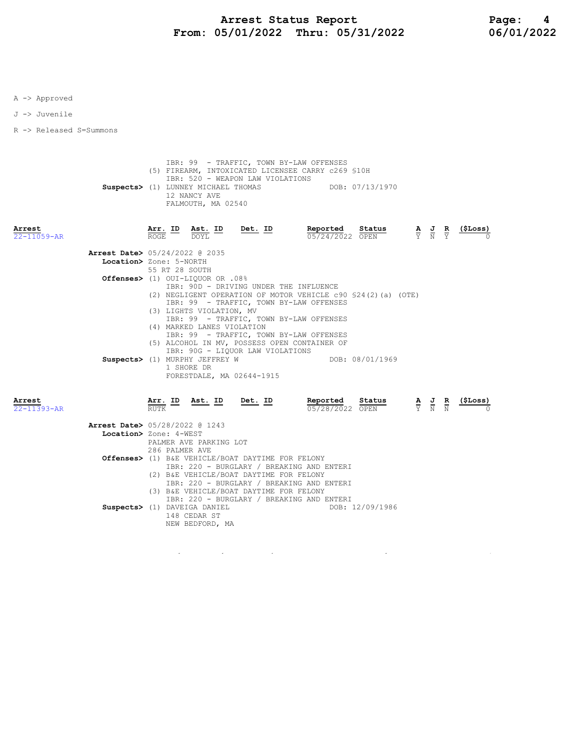A -> Approved

J -> Juvenile

R -> Released S=Summons

 IBR: 99 - TRAFFIC, TOWN BY-LAW OFFENSES (5) FIREARM, INTOXICATED LICENSEE CARRY c269 §10H IBR: 520 - WEAPON LAW VIOLATIONS Suspects> (1) LUNNEY MICHAEL THOMAS DOB: 07/13/1970 12 NANCY AVE FALMOUTH, MA 02540 Arrest Arr. ID Ast. ID Det. ID Reported Status A J R (\$Loss) 22-11059-AR ROGE DOYL 05/24/2022 OPEN Y N Y 0 Arrest Date> 05/24/2022 @ 2035 Location> Zone: 5-NORTH 55 RT 28 SOUTH Offenses> (1) OUI-LIQUOR OR .08% IBR: 90D - DRIVING UNDER THE INFLUENCE (2) NEGLIGENT OPERATION OF MOTOR VEHICLE c90 §24(2)(a) (OTE) IBR: 99 - TRAFFIC, TOWN BY-LAW OFFENSES (3) LIGHTS VIOLATION, MV IBR: 99 - TRAFFIC, TOWN BY-LAW OFFENSES (4) MARKED LANES VIOLATION IBR: 99 - TRAFFIC, TOWN BY-LAW OFFENSES (5) ALCOHOL IN MV, POSSESS OPEN CONTAINER OF IBR: 90G - LIQUOR LAW VIOLATIONS Suspects> (1) MURPHY JEFFREY W DOB: 08/01/1969 1 SHORE DR FORESTDALE, MA 02644-1915 Arrest Arr. ID Ast. ID Det. ID Reported Status A J R (\$Loss) 22-11393-AR RUTK 05/28/2022 OPEN Y N N 0 Arrest Date> 05/28/2022 @ 1243 Location> Zone: 4-WEST PALMER AVE PARKING LOT 286 PALMER AVE Offenses> (1) B&E VEHICLE/BOAT DAYTIME FOR FELONY IBR: 220 - BURGLARY / BREAKING AND ENTERI (2) B&E VEHICLE/BOAT DAYTIME FOR FELONY IBR: 220 - BURGLARY / BREAKING AND ENTERI (3) B&E VEHICLE/BOAT DAYTIME FOR FELONY

 IBR: 220 - BURGLARY / BREAKING AND ENTERI Suspects> (1) DAVEIGA DANIEL 148 CEDAR ST NEW BEDFORD, MA

 $\sim$ 

 $\mathcal{L}(\mathbf{z})$  and  $\mathcal{L}(\mathbf{z})$  are the set of the set of the set of  $\mathcal{L}(\mathbf{z})$